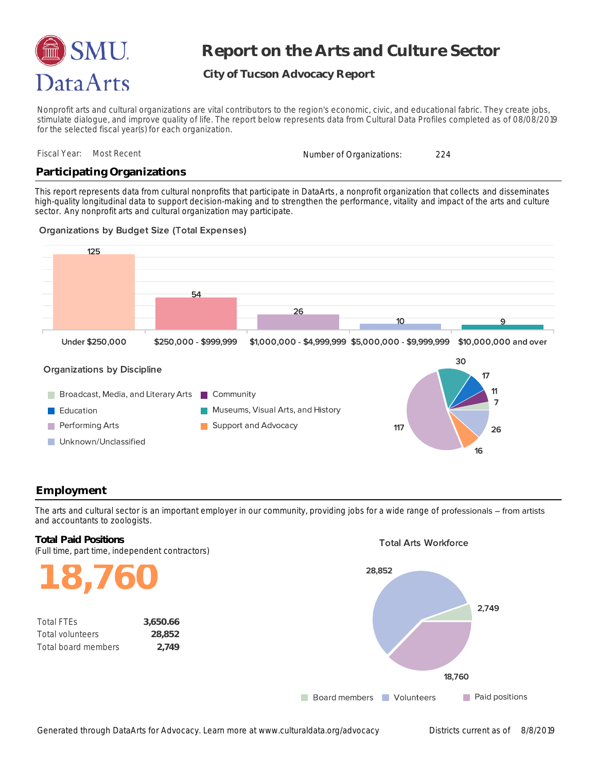

# **Report on the Arts and Culture Sector**

# **City of Tucson Advocacy Report**

Nonprofit arts and cultural organizations are vital contributors to the region's economic, civic, and educational fabric. They create jobs, stimulate dialogue, and improve quality of life. The report below represents data from Cultural Data Profiles completed as of 08/08/2019 for the selected fiscal year(s) for each organization.

|  | Fiscal Year: Most Recent | Number of Organizations: |  |  |
|--|--------------------------|--------------------------|--|--|
|--|--------------------------|--------------------------|--|--|

## **Participating Organizations**

sector. Any nonprofit arts and cultural organization may participate. high-quality longitudinal data to support decision-making and to strengthen the performance, vitality and impact of the arts and culture This report represents data from cultural nonprofits that participate in DataArts, a nonprofit organization that collects and disseminates

#### **Organizations by Budget Size (Total Expenses)**



### **Employment**

and accountants to zoologists. The arts and cultural sector is an important employer in our community, providing jobs for a wide range of professionals – from artists

# (Full time, part time, independent contractors) **Total Paid Positions**

**18,760**

| <b>Total FTES</b>       | 3.650.66 |
|-------------------------|----------|
| <b>Total volunteers</b> | 28,852   |
| Total board members     | 2.749    |

#### **Total Arts Workforce**

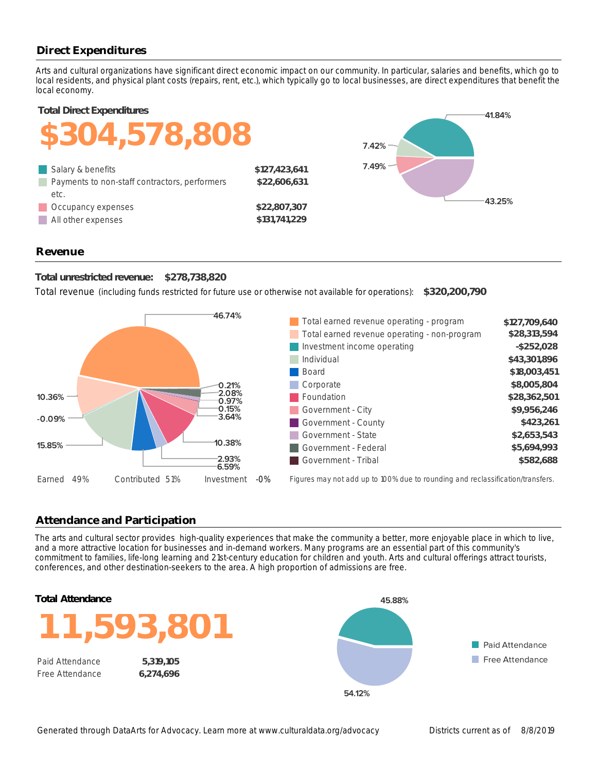# **Direct Expenditures**

local economy. local residents, and physical plant costs (repairs, rent, etc.), which typically go to local businesses, are direct expenditures that benefit the Arts and cultural organizations have significant direct economic impact on our community. In particular, salaries and benefits, which go to

**Total Direct Expenditures**



### **Revenue**

**Total unrestricted revenue: \$278,738,820**

Total revenue (including funds restricted for future use or otherwise not available for operations): **\$320,200,790**



### **Attendance and Participation**

conferences, and other destination-seekers to the area. A high proportion of admissions are free. commitment to families, life-long learning and 21st-century education for children and youth. Arts and cultural offerings attract tourists, and a more attractive location for businesses and in-demand workers. Many programs are an essential part of this community's The arts and cultural sector provides high-quality experiences that make the community a better, more enjoyable place in which to live,





Free Attendance **6,274,696**